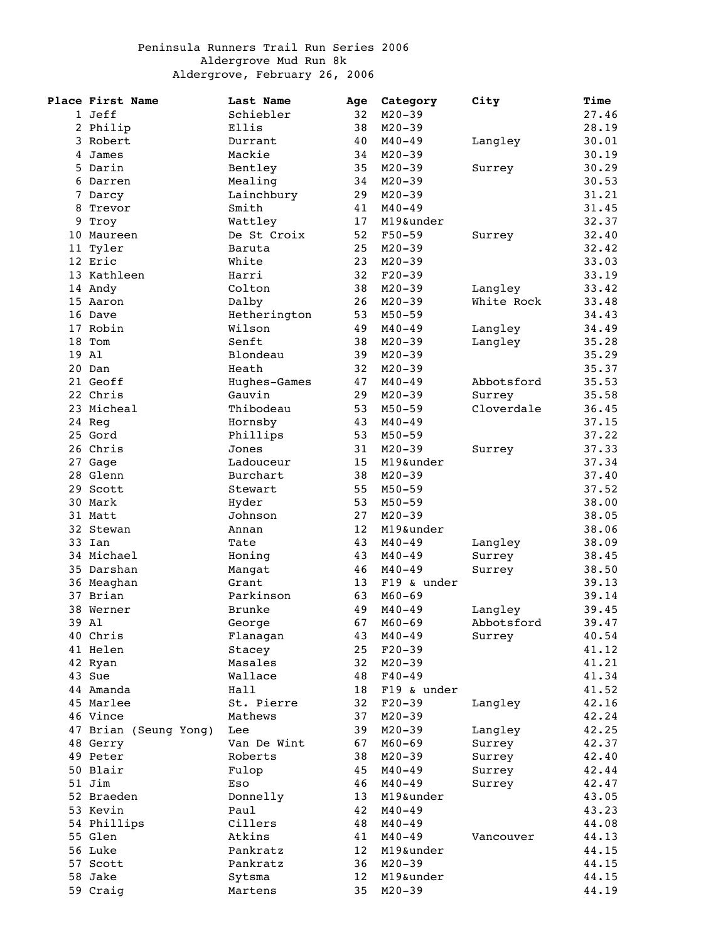## Peninsula Runners Trail Run Series 2006 Aldergrove Mud Run 8k Aldergrove, February 26, 2006

|   | Place First Name      | Last Name     | Age               | Category    | City       | Time           |
|---|-----------------------|---------------|-------------------|-------------|------------|----------------|
|   | 1 Jeff                | Schiebler     | 32                | $M20 - 39$  |            | 27.46          |
|   | 2 Philip              | Ellis         | 38                | $M20 - 39$  |            | 28.19          |
|   | 3 Robert              | Durrant       | 40                | $M40 - 49$  | Langley    | 30.01          |
| 4 | James                 | Mackie        | 34                | $M20 - 39$  |            | 30.19          |
|   | 5 Darin               | Bentley       | 35                | $M20 - 39$  | Surrey     | 30.29          |
|   | 6 Darren              | Mealing       | 34                | $M20 - 39$  |            | 30.53          |
|   | 7 Darcy               | Lainchbury    | 29                | $M20 - 39$  |            | 31.21          |
| 8 | Trevor                | Smith         | 41                | $M40 - 49$  |            | 31.45          |
|   | 9 Troy                | Wattley       | 17                | M19&under   |            | 32.37          |
|   | 10 Maureen            | De St Croix   | 52                | $F50 - 59$  | Surrey     | 32.40          |
|   |                       | Baruta        | 25                | $M20 - 39$  |            |                |
|   | 11 Tyler<br>12 Eric   | White         | 23                |             |            | 32.42<br>33.03 |
|   |                       |               |                   | $M20 - 39$  |            |                |
|   | 13 Kathleen           | Harri         | 32                | $F20-39$    |            | 33.19          |
|   | 14 Andy               | Colton        | 38                | $M20 - 39$  | Langley    | 33.42          |
|   | 15 Aaron              | Dalby         | 26                | $M20 - 39$  | White Rock | 33.48          |
|   | 16 Dave               | Hetherington  | 53                | $M50 - 59$  |            | 34.43          |
|   | 17 Robin              | Wilson        | 49                | $M40 - 49$  | Langley    | 34.49          |
|   | 18 Tom                | Senft         | 38                | $M20 - 39$  | Langley    | 35.28          |
|   | 19 Al                 | Blondeau      | 39                | $M20 - 39$  |            | 35.29          |
|   | 20 Dan                | Heath         | 32                | $M20 - 39$  |            | 35.37          |
|   | 21 Geoff              | Hughes-Games  | 47                | $M40 - 49$  | Abbotsford | 35.53          |
|   | 22 Chris              | Gauvin        | 29                | $M20 - 39$  | Surrey     | 35.58          |
|   | 23 Micheal            | Thibodeau     | 53                | $M50 - 59$  | Cloverdale | 36.45          |
|   | 24 Reg                | Hornsby       | 43                | $M40 - 49$  |            | 37.15          |
|   | 25 Gord               | Phillips      | 53                | $M50 - 59$  |            | 37.22          |
|   | 26 Chris              | Jones         | 31                | $M20 - 39$  | Surrey     | 37.33          |
|   | 27 Gage               | Ladouceur     | 15                | M19&under   |            | 37.34          |
|   | 28 Glenn              | Burchart      | 38                | $M20 - 39$  |            | 37.40          |
|   | 29 Scott              | Stewart       | 55                | $M50 - 59$  |            | 37.52          |
|   | 30 Mark               | Hyder         | 53                | $M50 - 59$  |            | 38.00          |
|   | 31 Matt               | Johnson       | 27                | $M20 - 39$  |            | 38.05          |
|   | 32 Stewan             | Annan         | $12 \overline{ }$ | M19&under   |            | 38.06          |
|   | 33 Ian                | Tate          | 43                | $M40 - 49$  |            | 38.09          |
|   | 34 Michael            |               | 43                | $M40 - 49$  | Langley    |                |
|   |                       | Honing        |                   |             | Surrey     | 38.45          |
|   | 35 Darshan            | Mangat        | 46                | $M40 - 49$  | Surrey     | 38.50          |
|   | 36 Meaghan            | Grant         | 13                | F19 & under |            | 39.13          |
|   | 37 Brian              | Parkinson     | 63                | $M60 - 69$  |            | 39.14          |
|   | 38 Werner             | <b>Brunke</b> | 49                | $M40 - 49$  | Langley    | 39.45          |
|   | 39 Al                 | George        | 67                | $M60 - 69$  | Abbotsford | 39.47          |
|   | 40 Chris              | Flanagan      | 43                | $M40 - 49$  | Surrey     | 40.54          |
|   | 41 Helen              | Stacey        | 25                | $F20-39$    |            | 41.12          |
|   | 42 Ryan               | Masales       | 32                | $M20 - 39$  |            | 41.21          |
|   | 43 Sue                | Wallace       | 48                | $F40 - 49$  |            | 41.34          |
|   | 44 Amanda             | Hall          | 18                | F19 & under |            | 41.52          |
|   | 45 Marlee             | St. Pierre    | 32                | $F20-39$    | Langley    | 42.16          |
|   | 46 Vince              | Mathews       | 37                | $M20 - 39$  |            | 42.24          |
|   | 47 Brian (Seung Yong) | Lee           | 39                | $M20 - 39$  | Langley    | 42.25          |
|   | 48 Gerry              | Van De Wint   | 67                | $M60 - 69$  | Surrey     | 42.37          |
|   | 49 Peter              | Roberts       | 38                | $M20 - 39$  | Surrey     | 42.40          |
|   | 50 Blair              | Fulop         | 45                | $M40 - 49$  | Surrey     | 42.44          |
|   | 51 Jim                | Eso           | 46                | $M40 - 49$  | Surrey     | 42.47          |
|   | 52 Braeden            | Donnelly      | 13                | M19&under   |            | 43.05          |
|   | 53 Kevin              | Paul          | 42                | $M40 - 49$  |            | 43.23          |
|   | 54 Phillips           | Cillers       | 48                | $M40 - 49$  |            | 44.08          |
|   | 55 Glen               | Atkins        | 41                | $M40 - 49$  | Vancouver  | 44.13          |
|   | 56 Luke               | Pankratz      | 12 <sup>°</sup>   | M19&under   |            | 44.15          |
|   | 57 Scott              | Pankratz      | 36                | $M20 - 39$  |            | 44.15          |
|   |                       |               |                   |             |            |                |
|   | 58 Jake               | Sytsma        | 12 <sup>°</sup>   | M19&under   |            | 44.15          |
|   | 59 Craig              | Martens       | 35                | $M20 - 39$  |            | 44.19          |